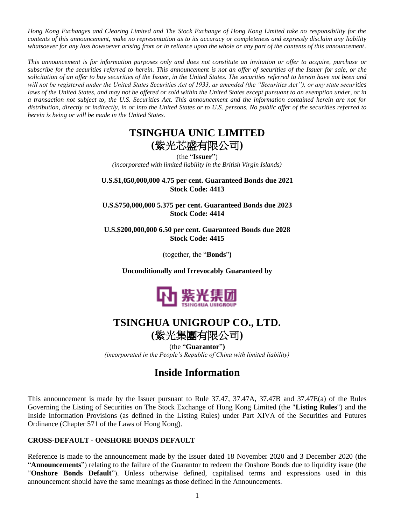*Hong Kong Exchanges and Clearing Limited and The Stock Exchange of Hong Kong Limited take no responsibility for the contents of this announcement, make no representation as to its accuracy or completeness and expressly disclaim any liability whatsoever for any loss howsoever arising from or in reliance upon the whole or any part of the contents of this announcement.*

*This announcement is for information purposes only and does not constitute an invitation or offer to acquire, purchase or subscribe for the securities referred to herein. This announcement is not an offer of securities of the Issuer for sale, or the solicitation of an offer to buy securities of the Issuer, in the United States. The securities referred to herein have not been and will not be registered under the United States Securities Act of 1933, as amended (the "Securities Act''), or any state securities laws of the United States, and may not be offered or sold within the United States except pursuant to an exemption under, or in a transaction not subject to, the U.S. Securities Act. This announcement and the information contained herein are not for distribution, directly or indirectly, in or into the United States or to U.S. persons. No public offer of the securities referred to herein is being or will be made in the United States.*

# **TSINGHUA UNIC LIMITED (**紫光芯盛有限公司**)**

(the "**Issuer**") *(incorporated with limited liability in the British Virgin Islands)*

**U.S.\$1,050,000,000 4.75 per cent. Guaranteed Bonds due 2021 Stock Code: 4413**

**U.S.\$750,000,000 5.375 per cent. Guaranteed Bonds due 2023 Stock Code: 4414**

**U.S.\$200,000,000 6.50 per cent. Guaranteed Bonds due 2028 Stock Code: 4415**

(together, the "**Bonds**"**)**

**Unconditionally and Irrevocably Guaranteed by**



## **TSINGHUA UNIGROUP CO., LTD.**

**(**紫光集團有限公司**)** (the "**Guarantor**"**)**

*(incorporated in the People's Republic of China with limited liability)*

## **Inside Information**

This announcement is made by the Issuer pursuant to Rule 37.47, 37.47A, 37.47B and 37.47E(a) of the Rules Governing the Listing of Securities on The Stock Exchange of Hong Kong Limited (the "**Listing Rules**") and the Inside Information Provisions (as defined in the Listing Rules) under Part XIVA of the Securities and Futures Ordinance (Chapter 571 of the Laws of Hong Kong).

### **CROSS-DEFAULT - ONSHORE BONDS DEFAULT**

Reference is made to the announcement made by the Issuer dated 18 November 2020 and 3 December 2020 (the "**Announcements**") relating to the failure of the Guarantor to redeem the Onshore Bonds due to liquidity issue (the "**Onshore Bonds Default**"). Unless otherwise defined, capitalised terms and expressions used in this announcement should have the same meanings as those defined in the Announcements.